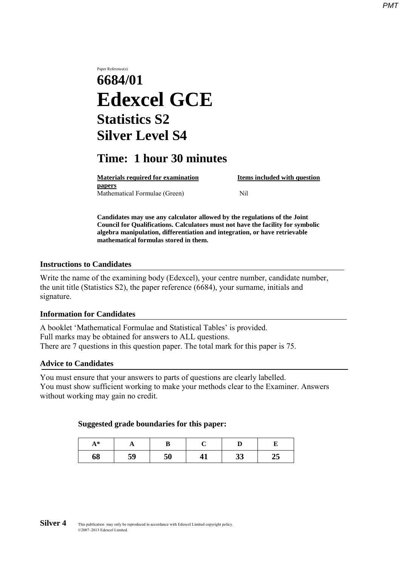# Paper Reference(s) **6684/01 Edexcel GCE Statistics S2 Silver Level S4**

## **Time: 1 hour 30 minutes**

**Materials required for examination Items included with question papers** Mathematical Formulae (Green)Nil

**Candidates may use any calculator allowed by the regulations of the Joint Council for Qualifications. Calculators must not have the facility for symbolic algebra manipulation, differentiation and integration, or have retrievable mathematical formulas stored in them.**

#### **Instructions to Candidates**

Write the name of the examining body (Edexcel), your centre number, candidate number, the unit title (Statistics S2), the paper reference (6684), your surname, initials and signature.

### **Information for Candidates**

A booklet 'Mathematical Formulae and Statistical Tables' is provided. Full marks may be obtained for answers to ALL questions. There are 7 questions in this question paper. The total mark for this paper is 75.

#### **Advice to Candidates**

You must ensure that your answers to parts of questions are clearly labelled. You must show sufficient working to make your methods clear to the Examiner. Answers without working may gain no credit.

#### **Suggested grade boundaries for this paper:**

| Δ *<br>л | л  |    |    |          |    |
|----------|----|----|----|----------|----|
| 68       | 59 | 50 | ┱┻ | າາ<br>IJ | ⊿J |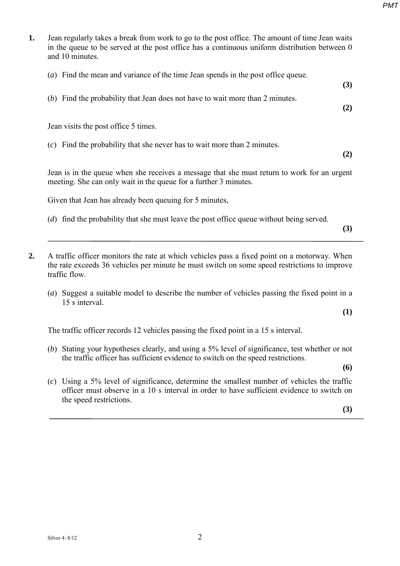- **1.** Jean regularly takes a break from work to go to the post office. The amount of time Jean waits in the queue to be served at the post office has a continuous uniform distribution between 0 and 10 minutes.
	- (*a*) Find the mean and variance of the time Jean spends in the post office queue. **(3)** (*b*) Find the probability that Jean does not have to wait more than 2 minutes.

Jean visits the post office 5 times.

(*c*) Find the probability that she never has to wait more than 2 minutes.

**(2)**

**(2)**

Jean is in the queue when she receives a message that she must return to work for an urgent meeting. She can only wait in the queue for a further 3 minutes.

Given that Jean has already been queuing for 5 minutes,

- (*d*) find the probability that she must leave the post office queue without being served.
- **(3)**
- **2.** A traffic officer monitors the rate at which vehicles pass a fixed point on a motorway. When the rate exceeds 36 vehicles per minute he must switch on some speed restrictions to improve traffic flow.
	- (*a*) Suggest a suitable model to describe the number of vehicles passing the fixed point in a 15 s interval.

**(1)**

The traffic officer records 12 vehicles passing the fixed point in a 15 s interval.

(*b*) Stating your hypotheses clearly, and using a 5% level of significance, test whether or not the traffic officer has sufficient evidence to switch on the speed restrictions.

**(6)**

(*c*) Using a 5% level of significance, determine the smallest number of vehicles the traffic officer must observe in a 10 s interval in order to have sufficient evidence to switch on the speed restrictions.

**(3)**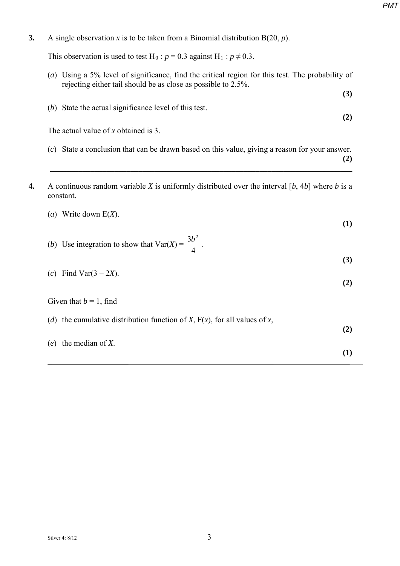**3.** A single observation *x* is to be taken from a Binomial distribution B(20, *p*).

This observation is used to test H<sub>0</sub> :  $p = 0.3$  against H<sub>1</sub> :  $p \neq 0.3$ .

- (*a*) Using a 5% level of significance, find the critical region for this test. The probability of rejecting either tail should be as close as possible to 2.5%.
- (*b*) State the actual significance level of this test. **(2)**

The actual value of *x* obtained is 3.

- (*c*) State a conclusion that can be drawn based on this value, giving a reason for your answer.
- **(2) \_\_\_\_\_\_\_\_\_\_\_\_\_\_\_\_\_\_\_\_\_\_\_\_\_\_\_\_\_\_\_\_\_\_\_\_\_\_\_\_\_\_\_\_\_\_\_\_\_\_\_\_\_\_\_\_\_\_\_\_\_\_\_\_\_\_\_\_\_\_\_\_\_\_\_**

**(3)**

**4.** A continuous random variable *X* is uniformly distributed over the interval [*b*, 4*b*] where *b* is a constant.

| Write down $E(X)$ .<br>$\left(a\right)$                                      | $\bf(1)$ |
|------------------------------------------------------------------------------|----------|
| (b) Use integration to show that $Var(X) = \frac{3b^2}{4}$ .                 |          |
|                                                                              | (3)      |
| Find Var $(3 – 2X)$ .<br>(c)                                                 | (2)      |
| Given that $b = 1$ , find                                                    |          |
| (d) the cumulative distribution function of X, $F(x)$ , for all values of x, |          |
|                                                                              | (2)      |
| the median of $X$ .<br>(e)                                                   | $\bf(1)$ |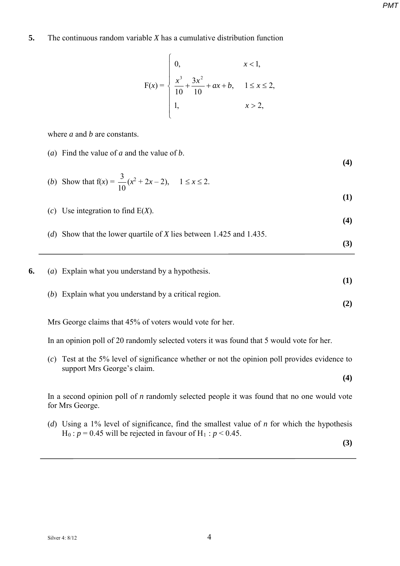#### **5.** The continuous random variable *X* has a cumulative distribution function

$$
F(x) = \begin{cases} 0, & x < 1, \\ \frac{x^3}{10} + \frac{3x^2}{10} + ax + b, & 1 \le x \le 2, \\ 1, & x > 2, \end{cases}
$$

where *a* and *b* are constants.

(*a*) Find the value of *a* and the value of *b*.

**(4)**

**(1)**

**(3)**

(b) Show that 
$$
f(x) = \frac{3}{10}(x^2 + 2x - 2)
$$
,  $1 \le x \le 2$ .

(*c*) Use integration to find E(*X*).

**(4)** (*d*) Show that the lower quartile of *X* lies between 1.425 and 1.435.

**6.** (*a*) Explain what you understand by a hypothesis. **(1)** (*b*) Explain what you understand by a critical region. **(2)**

Mrs George claims that 45% of voters would vote for her.

In an opinion poll of 20 randomly selected voters it was found that 5 would vote for her.

(*c*) Test at the 5% level of significance whether or not the opinion poll provides evidence to support Mrs George's claim.

In a second opinion poll of *n* randomly selected people it was found that no one would vote for Mrs George.

(*d*) Using a 1% level of significance, find the smallest value of *n* for which the hypothesis  $H_0$ :  $p = 0.45$  will be rejected in favour of  $H_1$ :  $p < 0.45$ .

**(3)**

**(4)**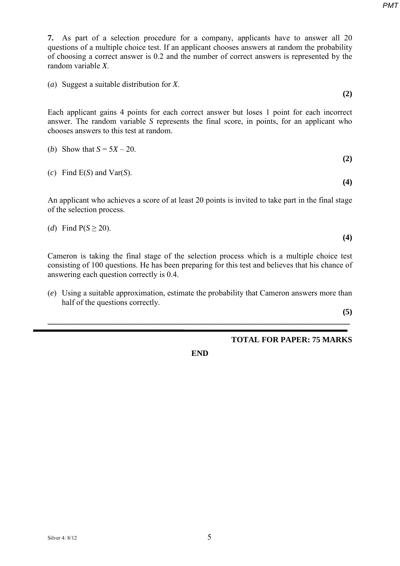*PMT*

**7.** As part of a selection procedure for a company, applicants have to answer all 20 questions of a multiple choice test. If an applicant chooses answers at random the probability of choosing a correct answer is 0.2 and the number of correct answers is represented by the random variable *X*.

(*a*) Suggest a suitable distribution for *X*.

Each applicant gains 4 points for each correct answer but loses 1 point for each incorrect answer. The random variable *S* represents the final score, in points, for an applicant who chooses answers to this test at random.

| ( <i>b</i> ) Show that $S = 5X - 20$ . |  |
|----------------------------------------|--|
|                                        |  |

(*c*) Find E(*S*) and Var(*S*).

An applicant who achieves a score of at least 20 points is invited to take part in the final stage of the selection process.

(d) Find 
$$
P(S \geq 20)
$$
.

Cameron is taking the final stage of the selection process which is a multiple choice test consisting of 100 questions. He has been preparing for this test and believes that his chance of answering each question correctly is 0.4.

(*e*) Using a suitable approximation, estimate the probability that Cameron answers more than half of the questions correctly.

**\_\_\_\_\_\_\_\_\_\_\_\_\_\_\_\_\_\_\_\_\_\_\_\_\_\_\_\_\_\_\_\_\_\_\_\_\_\_\_\_\_\_\_\_\_\_\_\_\_\_\_\_\_\_\_\_\_\_\_\_\_\_\_\_\_\_\_\_\_\_\_\_\_\_\_** 

**(5)**

## **TOTAL FOR PAPER: 75 MARKS**

**END**

**(2)**

**(4)**

**(4)**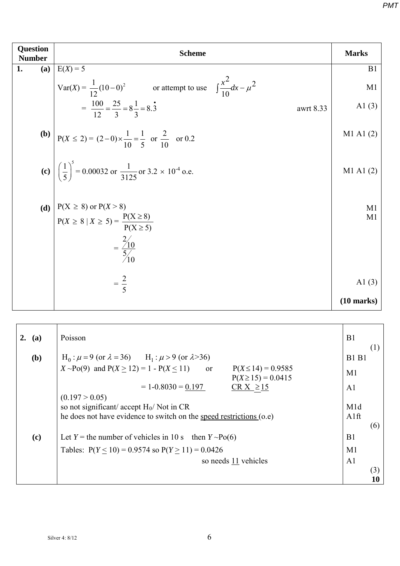| <b>Question</b><br><b>Number</b> | <b>Scheme</b>                                                                                 |                      |  |  |  |
|----------------------------------|-----------------------------------------------------------------------------------------------|----------------------|--|--|--|
| (a)<br>1.                        | $E(X) = 5$                                                                                    | B1                   |  |  |  |
|                                  | Var(X) = $\frac{1}{12}(10-0)^2$ or attempt to use $\int \frac{x^2}{10} dx - \mu^2$            | M1                   |  |  |  |
|                                  | $=\frac{100}{12}=\frac{25}{3}=8\frac{1}{3}=8.\overline{3}$<br>awrt 8.33                       | A $1(3)$             |  |  |  |
|                                  | <b>(b)</b> $P(X \le 2) = (2-0) \times \frac{1}{10} = \frac{1}{5}$ or $\frac{2}{10}$ or 0.2    | M1 A1 (2)            |  |  |  |
|                                  | (c) $\left(\frac{1}{5}\right)^5 = 0.00032$ or $\frac{1}{3125}$ or 3.2 × 10 <sup>-4</sup> o.e. | M1 A1 (2)            |  |  |  |
| (d)                              | $P(X \ge 8)$ or $P(X > 8)$<br>$P(X \ge 8   X \ge 5) = \frac{P(X \ge 8)}{P(X \ge 5)}$          | M1<br>M1             |  |  |  |
|                                  | $=\frac{2/10}{5/10}$                                                                          |                      |  |  |  |
|                                  | $=\frac{2}{5}$                                                                                | Al $(3)$             |  |  |  |
|                                  |                                                                                               | $(10 \text{ marks})$ |  |  |  |

| 2. | (a) | Poisson                                                                                                                               | B1                       |           |
|----|-----|---------------------------------------------------------------------------------------------------------------------------------------|--------------------------|-----------|
|    | (b) | $H_0: \mu = 9$ (or $\lambda = 36$ ) $H_1: \mu > 9$ (or $\lambda > 36$ )                                                               | <b>B1 B1</b>             | (1)       |
|    |     | $X \sim Po(9)$ and $P(X \ge 12) = 1 - P(X \le 11)$<br>$P(X \le 14) = 0.9585$<br><sub>or</sub><br>$P(X \ge 15) = 0.0415$               | M <sub>1</sub>           |           |
|    |     | $CR X \ge 15$<br>$= 1 - 0.8030 = 0.197$                                                                                               | A <sub>1</sub>           |           |
|    |     | (0.197 > 0.05)<br>so not significant/ accept $H_0$ / Not in CR<br>he does not have evidence to switch on the speed restrictions (o.e) | M <sub>1</sub> d<br>A1ft |           |
|    | (c) | Let Y = the number of vehicles in 10 s then $Y \sim Po(6)$                                                                            | B1                       | (6)       |
|    |     | Tables: $P(Y \le 10) = 0.9574$ so $P(Y \ge 11) = 0.0426$                                                                              | M1                       |           |
|    |     | so needs 11 vehicles                                                                                                                  | A <sub>1</sub>           |           |
|    |     |                                                                                                                                       |                          | (3)<br>10 |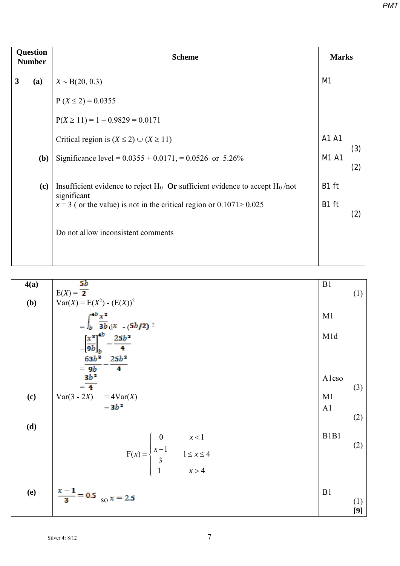| <b>Question</b><br><b>Number</b> |     | <b>Scheme</b>                                                                                    |                |     |  |  |
|----------------------------------|-----|--------------------------------------------------------------------------------------------------|----------------|-----|--|--|
| 3                                | (a) | $X \sim B(20, 0.3)$                                                                              | M <sub>1</sub> |     |  |  |
|                                  |     | $P(X \le 2) = 0.0355$                                                                            |                |     |  |  |
|                                  |     | $P(X \ge 11) = 1 - 0.9829 = 0.0171$                                                              |                |     |  |  |
|                                  |     | Critical region is $(X \le 2) \cup (X \ge 11)$                                                   | A1 A1          | (3) |  |  |
|                                  | (b) | Significance level = $0.0355 + 0.0171$ , = 0.0526 or 5.26%                                       | M1 A1          | (2) |  |  |
|                                  | (c) | Insufficient evidence to reject $H_0$ Or sufficient evidence to accept $H_0$ /not<br>significant | B1 ft          |     |  |  |
|                                  |     | $x = 3$ ( or the value) is not in the critical region or 0.1071 > 0.025                          | B1 ft          | (2) |  |  |
|                                  |     | Do not allow inconsistent comments                                                               |                |     |  |  |
|                                  |     |                                                                                                  |                |     |  |  |

4(a)  
\n
$$
E(X) = \frac{5b}{2}
$$
\n(b)  
\n
$$
Var(X) = E(X^{2}) \cdot (E(X))^{2}
$$
\n
$$
= \int_{b}^{4b} \frac{x^{2}}{3b} dx \quad (5b/2) \quad 2
$$
\n
$$
= \frac{\left(\frac{x^{3}}{9b}\right)_{b}^{4b} - \frac{25b^{2}}{4}}{\left(\frac{9b}{9b}\right)_{b}^{2b}} - \frac{25b^{2}}{4}
$$
\n(d)  
\n
$$
Var(3 - 2X) = 4Var(X)
$$
\n
$$
= 3b^{2}
$$
\n5b<sup>2</sup>  
\n
$$
Var(3 - 2X) = 4Var(X)
$$
\n
$$
= 3b^{2}
$$
\n5c<sup>2</sup>  
\n
$$
Var(3 - 2X) = 4Var(X)
$$
\n
$$
Var(3 - 2X) = 4Var(X)
$$
\n
$$
Var(4) = 4Var(X)
$$
\n
$$
Var(5 - 2X) = 4Var(X)
$$
\n
$$
Var(5 - 2X) = 4Var(X)
$$
\n
$$
Var(6)
$$
\n
$$
Var(7 - 2X) = 4Var(X)
$$
\n
$$
Var(8 - 2X) = 4Var(X)
$$
\n
$$
Var(9 - 2X) = 4Var(X)
$$
\n
$$
Var(1)
$$
\n
$$
Var(2)
$$
\n
$$
Var(3 - 2X) = 4Var(X)
$$
\n
$$
Var(3 - 2X) = 4Var(X)
$$
\n
$$
Var(3 - 2X) = 4Var(X)
$$
\n
$$
Var(3 - 2X) = 4Var(X)
$$
\n
$$
Var(4) = 4Var(X)
$$
\n
$$
Var(5 - 2X) = 4Var(X)
$$
\n
$$
Var(5 - 2X) = 4Var(X)
$$
\n
$$
Var(6) = 4Var(X)
$$
\n
$$
Var(7 - 2X) = 4Var(X)
$$
\n
$$
Var(8 - 2X) = 4Var(X)
$$
\n
$$
Var(9 - 2X) = 4Var(X)
$$
\n
$$
Var(1)
$$
\n

Silver 4: 8/12 7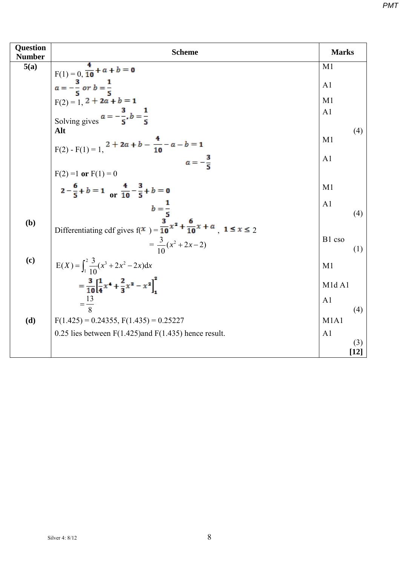| <b>Question</b><br><b>Number</b> | <b>Scheme</b>                                                                            | <b>Marks</b>                   |        |
|----------------------------------|------------------------------------------------------------------------------------------|--------------------------------|--------|
| 5(a)                             |                                                                                          | M1                             |        |
|                                  | F(1) = 0, $\frac{4}{10}$ + a + b = 0<br>$a = -\frac{3}{5}$ or b = $\frac{1}{5}$          | A <sub>1</sub>                 |        |
|                                  |                                                                                          | M1                             |        |
|                                  | F(2) = 1, 2 + 2a + b = 1<br>Solving gives $a = -\frac{3}{5}$ , b = $\frac{1}{5}$         | A <sub>1</sub>                 |        |
|                                  |                                                                                          |                                |        |
|                                  | Alt                                                                                      | M1                             | (4)    |
|                                  | $F(2) - F(1) = 1$ , $2 + 2a + b - \frac{4}{10} - a - b = 1$                              |                                |        |
|                                  | $a=-\frac{3}{5}$                                                                         | A1                             |        |
|                                  | $F(2) = 1$ or $F(1) = 0$                                                                 |                                |        |
|                                  | $2-\frac{6}{5}+b=1$ or $\frac{4}{10}-\frac{3}{5}+b=0$                                    | M1                             |        |
|                                  | $b=\frac{1}{5}$                                                                          | A <sub>1</sub>                 |        |
| (b)                              | Differentiating cdf gives $f(x) = \frac{3}{10}x^2 + \frac{6}{10}x + a$ , $1 \le x \le 2$ |                                | (4)    |
|                                  | $=\frac{3}{10}(x^2+2x-2)$                                                                | B1 cso                         | (1)    |
| (c)                              | $E(X) = \int_1^2 \frac{3}{10}(x^3 + 2x^2 - 2x)dx$                                        | M1                             |        |
|                                  | $=\frac{3}{10}\left[\frac{1}{4}x^4+\frac{2}{3}x^3-x^2\right]^2$                          | M <sub>1</sub> d <sub>A1</sub> |        |
|                                  | $=\frac{13}{2}$                                                                          | A <sub>1</sub>                 |        |
| (d)                              | $F(1.425) = 0.24355$ , $F(1.435) = 0.25227$                                              | M1A1                           | (4)    |
|                                  |                                                                                          |                                |        |
|                                  | 0.25 lies between $F(1.425)$ and $F(1.435)$ hence result.                                | A1                             | (3)    |
|                                  |                                                                                          |                                | $[12]$ |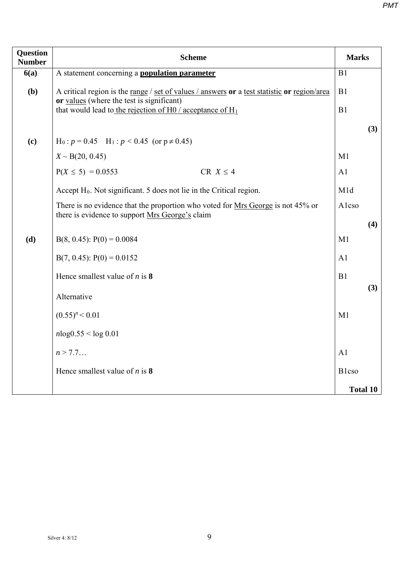| <b>Question</b><br><b>Number</b> | <b>Scheme</b>                                                                                                                            | <b>Marks</b>    |     |  |  |
|----------------------------------|------------------------------------------------------------------------------------------------------------------------------------------|-----------------|-----|--|--|
| 6(a)                             | A statement concerning a <b>population parameter</b>                                                                                     | B1              |     |  |  |
| (b)                              | A critical region is the range / set of values / answers or a test statistic or region/area<br>or values (where the test is significant) | B1              |     |  |  |
|                                  | that would lead to the rejection of H0 / acceptance of $H_1$                                                                             | B1              |     |  |  |
|                                  |                                                                                                                                          |                 | (3) |  |  |
| (c)                              | $H_0: p = 0.45$ $H_1: p < 0.45$ (or $p \neq 0.45$ )                                                                                      |                 |     |  |  |
|                                  | $X \sim B(20, 0.45)$                                                                                                                     | M1              |     |  |  |
|                                  | $P(X \le 5) = 0.0553$<br>CR $X \leq 4$                                                                                                   | A1              |     |  |  |
|                                  | Accept H <sub>0</sub> . Not significant. 5 does not lie in the Critical region.                                                          | M1d             |     |  |  |
|                                  | There is no evidence that the proportion who voted for Mrs George is not 45% or<br>Alcso                                                 |                 |     |  |  |
|                                  | there is evidence to support Mrs George's claim                                                                                          |                 | (4) |  |  |
| (d)                              | $B(8, 0.45)$ : $P(0) = 0.0084$                                                                                                           | M1              |     |  |  |
|                                  | $B(7, 0.45)$ : $P(0) = 0.0152$                                                                                                           | A1              |     |  |  |
|                                  | Hence smallest value of $n$ is 8                                                                                                         | B1              |     |  |  |
|                                  | Alternative                                                                                                                              |                 | (3) |  |  |
|                                  | $(0.55)^n < 0.01$                                                                                                                        | M1              |     |  |  |
|                                  |                                                                                                                                          |                 |     |  |  |
|                                  | $nlog(0.55 \leq log(0.01$                                                                                                                |                 |     |  |  |
|                                  | n > 7.7                                                                                                                                  | A <sub>1</sub>  |     |  |  |
|                                  | Hence smallest value of $n$ is 8                                                                                                         | <b>B</b> lcso   |     |  |  |
|                                  |                                                                                                                                          | <b>Total 10</b> |     |  |  |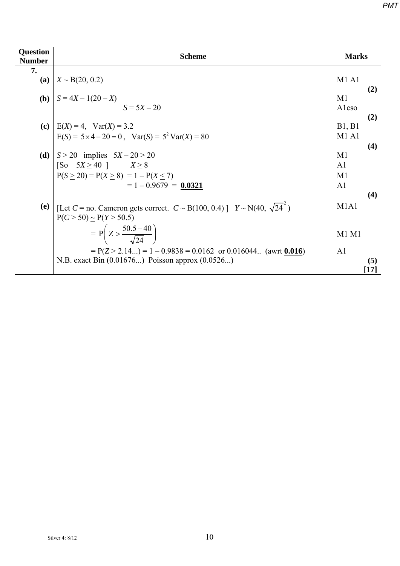| <b>Question</b><br><b>Number</b> | <b>Scheme</b>                                                                                                                                                                                                                                                                                  | <b>Marks</b>                                                    |                                     |
|----------------------------------|------------------------------------------------------------------------------------------------------------------------------------------------------------------------------------------------------------------------------------------------------------------------------------------------|-----------------------------------------------------------------|-------------------------------------|
| 7.                               | (a) $X \sim B(20, 0.2)$                                                                                                                                                                                                                                                                        | M1A1                                                            |                                     |
|                                  | <b>(b)</b> $S = 4X - 1(20 - X)$<br>$S = 5X - 20$                                                                                                                                                                                                                                               | M1<br>Alcso                                                     | (2)                                 |
|                                  | (c) $\mid$ E(X) = 4, Var(X) = 3.2<br>$E(S) = 5 \times 4 - 20 = 0$ , $Var(S) = 5^2 Var(X) = 80$                                                                                                                                                                                                 | B1, B1<br>M1A1                                                  | (2)                                 |
|                                  | (d) $S \ge 20$ implies $5X - 20 \ge 20$<br>[So $5X \ge 40$ ] $X \ge 8$<br>$P(S \ge 20) = P(X \ge 8) = 1 - P(X \le 7)$<br>$= 1 - 0.9679 = 0.0321$                                                                                                                                               | M1<br>A <sub>1</sub><br>M <sub>1</sub><br>A <sub>1</sub>        | (4)<br>(4)                          |
| (e)                              | [Let C = no. Cameron gets correct. $C \sim B(100, 0.4)$ ] $Y \sim N(40, \sqrt{24})$<br>$P(C > 50) \sim P(Y > 50.5)$<br>$= P\left(Z > \frac{50.5 - 40}{\sqrt{24}}\right)$<br>$= P(Z > 2.14) = 1 - 0.9838 = 0.0162$ or 0.016044 (awrt 0.016)<br>N.B. exact Bin (0.01676) Poisson approx (0.0526) | M <sub>1</sub> A <sub>1</sub><br><b>M1 M1</b><br>A <sub>1</sub> | (5)<br>$\left\lceil 17\right\rceil$ |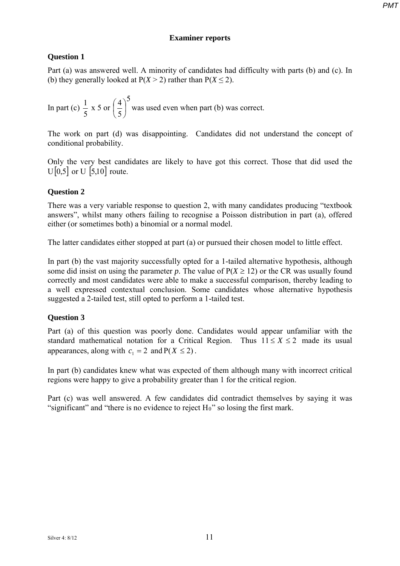### **Examiner reports**

## **Question 1**

Part (a) was answered well. A minority of candidates had difficulty with parts (b) and (c). In (b) they generally looked at  $P(X > 2)$  rather than  $P(X \le 2)$ .

In part (c)  $\frac{1}{5} \times 5$  or  $\left(\frac{4}{5}\right)^5$ 5  $\left(\frac{4}{5}\right)$  $\bigg)$  $\left(\frac{4}{5}\right)$  $\setminus$  $\left(\frac{4}{5}\right)^{3}$  was used even when part (b) was correct.

The work on part (d) was disappointing. Candidates did not understand the concept of conditional probability.

Only the very best candidates are likely to have got this correct. Those that did used the  $U[0,5]$  or U  $[5,10]$  route.

## **Question 2**

There was a very variable response to question 2, with many candidates producing "textbook answers", whilst many others failing to recognise a Poisson distribution in part (a), offered either (or sometimes both) a binomial or a normal model.

The latter candidates either stopped at part (a) or pursued their chosen model to little effect.

In part (b) the vast majority successfully opted for a 1-tailed alternative hypothesis, although some did insist on using the parameter *p*. The value of  $P(X \ge 12)$  or the CR was usually found correctly and most candidates were able to make a successful comparison, thereby leading to a well expressed contextual conclusion. Some candidates whose alternative hypothesis suggested a 2-tailed test, still opted to perform a 1-tailed test.

## **Question 3**

Part (a) of this question was poorly done. Candidates would appear unfamiliar with the standard mathematical notation for a Critical Region. Thus  $11 \le X \le 2$  made its usual appearances, along with  $c_1 = 2$  and  $P(X \le 2)$ .

In part (b) candidates knew what was expected of them although many with incorrect critical regions were happy to give a probability greater than 1 for the critical region.

Part (c) was well answered. A few candidates did contradict themselves by saying it was "significant" and "there is no evidence to reject  $H_0$ " so losing the first mark.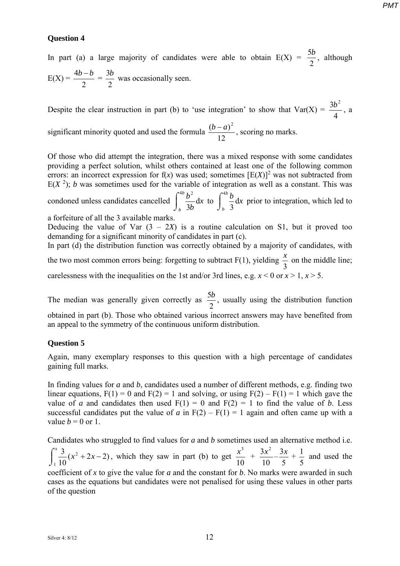#### **Question 4**

In part (a) a large majority of candidates were able to obtain  $E(X) = \frac{5b}{2}$ , although  $E(X) =$ 2  $\frac{4b-b}{2}$ 2  $rac{3b}{2}$  was occasionally seen.

Despite the clear instruction in part (b) to 'use integration' to show that  $Var(X) = \frac{36}{4}$  $\frac{3b^2}{4}$ , a

significant minority quoted and used the formula  $\frac{(b-a)^2}{12}$ , scoring no marks.

Of those who did attempt the integration, there was a mixed response with some candidates providing a perfect solution, whilst others contained at least one of the following common errors: an incorrect expression for  $f(x)$  was used; sometimes  $[E(X)]^2$  was not subtracted from  $E(X<sup>2</sup>)$ ; *b* was sometimes used for the variable of integration as well as a constant. This was  $\int^{4b}$  $\frac{4b}{2}b^2$  d  $\int^{4b}$ 

condoned unless candidates cancelled  $\int$ *b x b* 3  $\begin{bmatrix} \n\text{to} \n\end{bmatrix}$ *b*  $\frac{4}{b}$ ,  $\frac{b}{3}$  dx prior to integration, which led to

a forfeiture of all the 3 available marks.

Deducing the value of Var  $(3 - 2X)$  is a routine calculation on S1, but it proved too demanding for a significant minority of candidates in part (c).

In part (d) the distribution function was correctly obtained by a majority of candidates, with the two most common errors being: forgetting to subtract  $F(1)$ , yielding  $\frac{x}{3}$  on the middle line; carelessness with the inequalities on the 1st and/or 3rd lines, e.g.  $x < 0$  or  $x > 1$ ,  $x > 5$ .

The median was generally given correctly as  $\frac{5b}{2}$ , usually using the distribution function obtained in part (b). Those who obtained various incorrect answers may have benefited from an appeal to the symmetry of the continuous uniform distribution.

#### **Question 5**

Again, many exemplary responses to this question with a high percentage of candidates gaining full marks.

In finding values for *a* and *b*, candidates used a number of different methods, e.g. finding two linear equations,  $F(1) = 0$  and  $F(2) = 1$  and solving, or using  $F(2) - F(1) = 1$  which gave the value of *a* and candidates then used  $F(1) = 0$  and  $F(2) = 1$  to find the value of *b*. Less successful candidates put the value of *a* in  $F(2) - F(1) = 1$  again and often came up with a value  $b = 0$  or 1.

Candidates who struggled to find values for *a* and *b* sometimes used an alternative method i.e.  $\int$  $\int_{0}^{x} \frac{3}{10}(x^2 + 2x \frac{3}{10}(x^2 + 2x - 2)$ , which they saw in part (b) to get 1 10  $\frac{x^3}{10}$  + 10  $rac{3x^2}{10} - \frac{3x}{5} +$ 5  $\frac{1}{5}$  and used the coefficient of *x* to give the value for *a* and the constant for *b*. No marks were awarded in such cases as the equations but candidates were not penalised for using these values in other parts of the question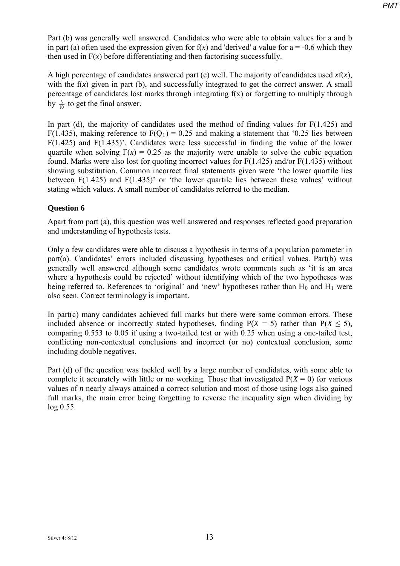Part (b) was generally well answered. Candidates who were able to obtain values for a and b in part (a) often used the expression given for  $f(x)$  and 'derived' a value for  $a = -0.6$  which they then used in  $F(x)$  before differentiating and then factorising successfully.

A high percentage of candidates answered part (c) well. The majority of candidates used *x*f(*x*), with the  $f(x)$  given in part (b), and successfully integrated to get the correct answer. A small percentage of candidates lost marks through integrating f(x) or forgetting to multiply through by  $\frac{3}{10}$  to get the final answer.

In part (d), the majority of candidates used the method of finding values for  $F(1.425)$  and F(1.435), making reference to  $F(Q_1) = 0.25$  and making a statement that '0.25 lies between F(1.425) and F(1.435)'. Candidates were less successful in finding the value of the lower quartile when solving  $F(x) = 0.25$  as the majority were unable to solve the cubic equation found. Marks were also lost for quoting incorrect values for F(1.425) and/or F(1.435) without showing substitution. Common incorrect final statements given were 'the lower quartile lies between  $F(1.425)$  and  $F(1.435)$ ' or 'the lower quartile lies between these values' without stating which values. A small number of candidates referred to the median.

## **Question 6**

Apart from part (a), this question was well answered and responses reflected good preparation and understanding of hypothesis tests.

Only a few candidates were able to discuss a hypothesis in terms of a population parameter in part(a). Candidates' errors included discussing hypotheses and critical values. Part(b) was generally well answered although some candidates wrote comments such as 'it is an area where a hypothesis could be rejected' without identifying which of the two hypotheses was being referred to. References to 'original' and 'new' hypotheses rather than  $H_0$  and  $H_1$  were also seen. Correct terminology is important.

In part(c) many candidates achieved full marks but there were some common errors. These included absence or incorrectly stated hypotheses, finding  $P(X = 5)$  rather than  $P(X \le 5)$ , comparing 0.553 to 0.05 if using a two-tailed test or with 0.25 when using a one-tailed test, conflicting non-contextual conclusions and incorrect (or no) contextual conclusion, some including double negatives.

Part (d) of the question was tackled well by a large number of candidates, with some able to complete it accurately with little or no working. Those that investigated  $P(X = 0)$  for various values of *n* nearly always attained a correct solution and most of those using logs also gained full marks, the main error being forgetting to reverse the inequality sign when dividing by log 0.55.